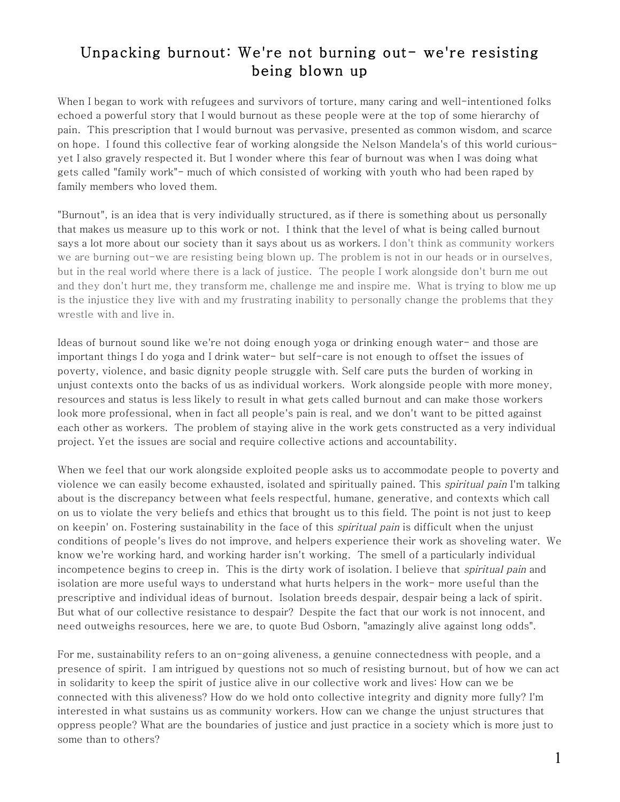## Unpacking burnout: We're not burning out- we're resisting being blown up

When I began to work with refugees and survivors of torture, many caring and well-intentioned folks echoed a powerful story that I would burnout as these people were at the top of some hierarchy of pain. This prescription that I would burnout was pervasive, presented as common wisdom, and scarce on hope. I found this collective fear of working alongside the Nelson Mandela's of this world curiousyet I also gravely respected it. But I wonder where this fear of burnout was when I was doing what gets called "family work"- much of which consisted of working with youth who had been raped by family members who loved them.

"Burnout", is an idea that is very individually structured, as if there is something about us personally that makes us measure up to this work or not. I think that the level of what is being called burnout says a lot more about our society than it says about us as workers. I don't think as community workers we are burning out-we are resisting being blown up. The problem is not in our heads or in ourselves, but in the real world where there is a lack of justice. The people I work alongside don't burn me out and they don't hurt me, they transform me, challenge me and inspire me. What is trying to blow me up is the injustice they live with and my frustrating inability to personally change the problems that they wrestle with and live in.

Ideas of burnout sound like we're not doing enough yoga or drinking enough water- and those are important things I do yoga and I drink water- but self-care is not enough to offset the issues of poverty, violence, and basic dignity people struggle with. Self care puts the burden of working in unjust contexts onto the backs of us as individual workers. Work alongside people with more money, resources and status is less likely to result in what gets called burnout and can make those workers look more professional, when in fact all people's pain is real, and we don't want to be pitted against each other as workers. The problem of staying alive in the work gets constructed as a very individual project. Yet the issues are social and require collective actions and accountability.

When we feel that our work alongside exploited people asks us to accommodate people to poverty and violence we can easily become exhausted, isolated and spiritually pained. This *spiritual pain* I'm talking about is the discrepancy between what feels respectful, humane, generative, and contexts which call on us to violate the very beliefs and ethics that brought us to this field. The point is not just to keep on keepin' on. Fostering sustainability in the face of this *spiritual pain* is difficult when the unjust conditions of people's lives do not improve, and helpers experience their work as shoveling water. We know we're working hard, and working harder isn't working. The smell of a particularly individual incompetence begins to creep in. This is the dirty work of isolation. I believe that *spiritual pain* and isolation are more useful ways to understand what hurts helpers in the work- more useful than the prescriptive and individual ideas of burnout. Isolation breeds despair, despair being a lack of spirit. But what of our collective resistance to despair? Despite the fact that our work is not innocent, and need outweighs resources, here we are, to quote Bud Osborn, "amazingly alive against long odds".

For me, sustainability refers to an on-going aliveness, a genuine connectedness with people, and a presence of spirit. I am intrigued by questions not so much of resisting burnout, but of how we can act in solidarity to keep the spirit of justice alive in our collective work and lives: How can we be connected with this aliveness? How do we hold onto collective integrity and dignity more fully? I'm interested in what sustains us as community workers. How can we change the unjust structures that oppress people? What are the boundaries of justice and just practice in a society which is more just to some than to others?